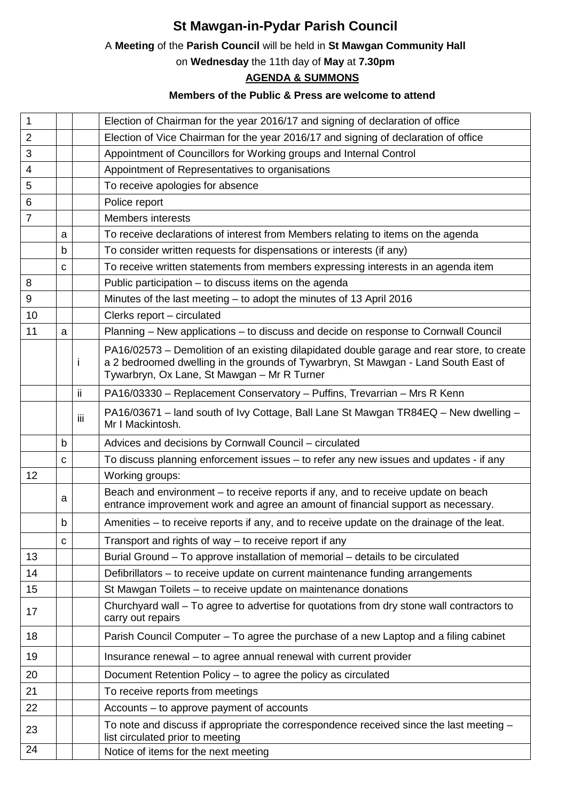## **St Mawgan-in-Pydar Parish Council**

## A **Meeting** of the **Parish Council** will be held in **St Mawgan Community Hall**

on **Wednesday** the 11th day of **May** at **7.30pm**

## **AGENDA & SUMMONS**

## **Members of the Public & Press are welcome to attend**

| 1              |   |     | Election of Chairman for the year 2016/17 and signing of declaration of office                                                                                                                                                  |
|----------------|---|-----|---------------------------------------------------------------------------------------------------------------------------------------------------------------------------------------------------------------------------------|
| $\overline{2}$ |   |     | Election of Vice Chairman for the year 2016/17 and signing of declaration of office                                                                                                                                             |
| 3              |   |     | Appointment of Councillors for Working groups and Internal Control                                                                                                                                                              |
| 4              |   |     | Appointment of Representatives to organisations                                                                                                                                                                                 |
| 5              |   |     | To receive apologies for absence                                                                                                                                                                                                |
| 6              |   |     | Police report                                                                                                                                                                                                                   |
| $\overline{7}$ |   |     | <b>Members interests</b>                                                                                                                                                                                                        |
|                | a |     | To receive declarations of interest from Members relating to items on the agenda                                                                                                                                                |
|                | b |     | To consider written requests for dispensations or interests (if any)                                                                                                                                                            |
|                | C |     | To receive written statements from members expressing interests in an agenda item                                                                                                                                               |
| 8              |   |     | Public participation – to discuss items on the agenda                                                                                                                                                                           |
| 9              |   |     | Minutes of the last meeting - to adopt the minutes of 13 April 2016                                                                                                                                                             |
| 10             |   |     | Clerks report - circulated                                                                                                                                                                                                      |
| 11             | a |     | Planning - New applications - to discuss and decide on response to Cornwall Council                                                                                                                                             |
|                |   | Ť   | PA16/02573 – Demolition of an existing dilapidated double garage and rear store, to create<br>a 2 bedroomed dwelling in the grounds of Tywarbryn, St Mawgan - Land South East of<br>Tywarbryn, Ox Lane, St Mawgan - Mr R Turner |
|                |   | ii. | PA16/03330 - Replacement Conservatory - Puffins, Trevarrian - Mrs R Kenn                                                                                                                                                        |
|                |   | iίi | PA16/03671 – land south of Ivy Cottage, Ball Lane St Mawgan TR84EQ – New dwelling –<br>Mr I Mackintosh.                                                                                                                         |
|                | b |     | Advices and decisions by Cornwall Council - circulated                                                                                                                                                                          |
|                | C |     | To discuss planning enforcement issues - to refer any new issues and updates - if any                                                                                                                                           |
| 12             |   |     | Working groups:                                                                                                                                                                                                                 |
|                | a |     | Beach and environment – to receive reports if any, and to receive update on beach<br>entrance improvement work and agree an amount of financial support as necessary.                                                           |
|                | b |     | Amenities – to receive reports if any, and to receive update on the drainage of the leat.                                                                                                                                       |
|                | C |     | Transport and rights of way – to receive report if any                                                                                                                                                                          |
| 13             |   |     | Burial Ground – To approve installation of memorial – details to be circulated                                                                                                                                                  |
| 14             |   |     | Defibrillators - to receive update on current maintenance funding arrangements                                                                                                                                                  |
| 15             |   |     | St Mawgan Toilets - to receive update on maintenance donations                                                                                                                                                                  |
| 17             |   |     | Churchyard wall - To agree to advertise for quotations from dry stone wall contractors to<br>carry out repairs                                                                                                                  |
| 18             |   |     | Parish Council Computer – To agree the purchase of a new Laptop and a filing cabinet                                                                                                                                            |
| 19             |   |     | Insurance renewal - to agree annual renewal with current provider                                                                                                                                                               |
| 20             |   |     | Document Retention Policy - to agree the policy as circulated                                                                                                                                                                   |
| 21             |   |     | To receive reports from meetings                                                                                                                                                                                                |
| 22             |   |     | Accounts – to approve payment of accounts                                                                                                                                                                                       |
| 23             |   |     | To note and discuss if appropriate the correspondence received since the last meeting -<br>list circulated prior to meeting                                                                                                     |
| 24             |   |     | Notice of items for the next meeting                                                                                                                                                                                            |